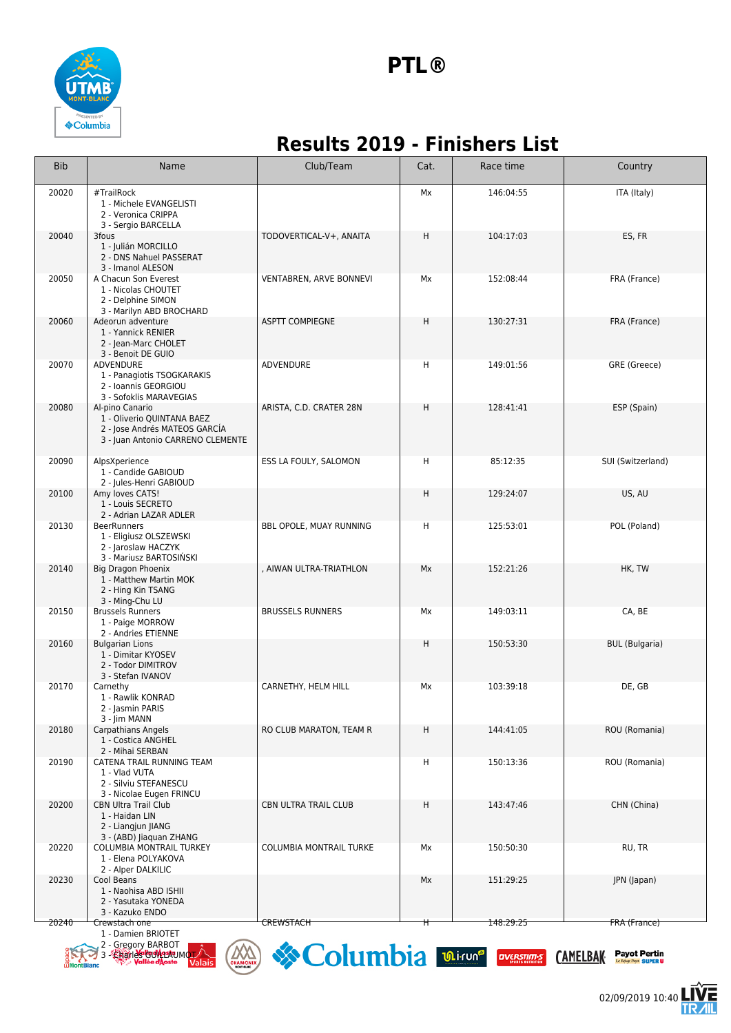

## **Results 2019 - Finishers List**

| <b>Bib</b> | Name                                                                                                                | Club/Team                      | Cat. | Race time | Country               |
|------------|---------------------------------------------------------------------------------------------------------------------|--------------------------------|------|-----------|-----------------------|
| 20020      | #TrailRock<br>1 - Michele EVANGELISTI<br>2 - Veronica CRIPPA<br>3 - Sergio BARCELLA                                 |                                | Мx   | 146:04:55 | ITA (Italy)           |
| 20040      | 3fous<br>1 - Julián MORCILLO<br>2 - DNS Nahuel PASSERAT<br>3 - Imanol ALESON                                        | TODOVERTICAL-V+, ANAITA        | Η    | 104:17:03 | ES, FR                |
| 20050      | A Chacun Son Everest<br>1 - Nicolas CHOUTET<br>2 - Delphine SIMON<br>3 - Marilyn ABD BROCHARD                       | VENTABREN, ARVE BONNEVI        | Мx   | 152:08:44 | FRA (France)          |
| 20060      | Adeorun adventure<br>1 - Yannick RENIER<br>2 - Jean-Marc CHOLET<br>3 - Benoit DE GUIO                               | <b>ASPTT COMPIEGNE</b>         | Η    | 130:27:31 | FRA (France)          |
| 20070      | ADVENDURE<br>1 - Panagiotis TSOGKARAKIS<br>2 - Ioannis GEORGIOU<br>3 - Sofoklis MARAVEGIAS                          | ADVENDURE                      | н    | 149:01:56 | GRE (Greece)          |
| 20080      | Al-pino Canario<br>1 - Oliverio QUINTANA BAEZ<br>2 - Jose Andrés MATEOS GARCIA<br>3 - Juan Antonio CARRENO CLEMENTE | ARISTA, C.D. CRATER 28N        | н    | 128:41:41 | ESP (Spain)           |
| 20090      | AlpsXperience<br>1 - Candide GABIOUD<br>2 - Jules-Henri GABIOUD                                                     | ESS LA FOULY, SALOMON          | н    | 85:12:35  | SUI (Switzerland)     |
| 20100      | Amy loves CATS!<br>1 - Louis SECRETO<br>2 - Adrian LAZAR ADLER                                                      |                                | н    | 129:24:07 | US, AU                |
| 20130      | <b>BeerRunners</b><br>1 - Eligiusz OLSZEWSKI<br>2 - Jaroslaw HACZYK<br>3 - Mariusz BARTOSIŃSKI                      | BBL OPOLE, MUAY RUNNING        | н    | 125:53:01 | POL (Poland)          |
| 20140      | <b>Big Dragon Phoenix</b><br>1 - Matthew Martin MOK<br>2 - Hing Kin TSANG<br>3 - Ming-Chu LU                        | , AIWAN ULTRA-TRIATHLON        | Mx   | 152:21:26 | HK, TW                |
| 20150      | <b>Brussels Runners</b><br>1 - Paige MORROW<br>2 - Andries ETIENNE                                                  | <b>BRUSSELS RUNNERS</b>        | Мx   | 149:03:11 | CA, BE                |
| 20160      | <b>Bulgarian Lions</b><br>1 - Dimitar KYOSEV<br>2 - Todor DIMITROV<br>3 - Stefan IVANOV                             |                                | Η    | 150:53:30 | <b>BUL</b> (Bulgaria) |
| 20170      | Carnethy<br>1 - Rawlik KONRAD<br>2 - Jasmin PARIS<br>3 - Jim MANN                                                   | CARNETHY, HELM HILL            | Мx   | 103:39:18 | DE, GB                |
| 20180      | <b>Carpathians Angels</b><br>1 - Costica ANGHEL<br>2 - Mihai SERBAN                                                 | RO CLUB MARATON, TEAM R        | н    | 144:41:05 | ROU (Romania)         |
| 20190      | CATENA TRAIL RUNNING TEAM<br>1 - Vlad VUTA<br>2 - Silviu STEFANESCU<br>3 - Nicolae Eugen FRINCU                     |                                | н    | 150:13:36 | ROU (Romania)         |
| 20200      | <b>CBN Ultra Trail Club</b><br>1 - Haidan LIN<br>2 - Liangjun JIANG<br>3 - (ABD) Jiaquan ZHANG                      | CBN ULTRA TRAIL CLUB           | н    | 143:47:46 | CHN (China)           |
| 20220      | COLUMBIA MONTRAIL TURKEY<br>1 - Elena POLYAKOVA<br>2 - Alper DALKILIC                                               | <b>COLUMBIA MONTRAIL TURKE</b> | Мx   | 150:50:30 | RU, TR                |
| 20230      | Cool Beans<br>1 - Naohisa ABD ISHII<br>2 - Yasutaka YONEDA<br>3 - Kazuko ENDO                                       |                                | Мx   | 151:29:25 | JPN (Japan)           |
| 20240      | Crewstach one                                                                                                       | <b>CREWSTACH</b>               | ⇈    | 148:29:25 | <b>FRA</b> (France)   |

1 - Damien BRIOTET

- 2 Gregory BARBOT **3 - Charles GUILLAUMOT**
- 



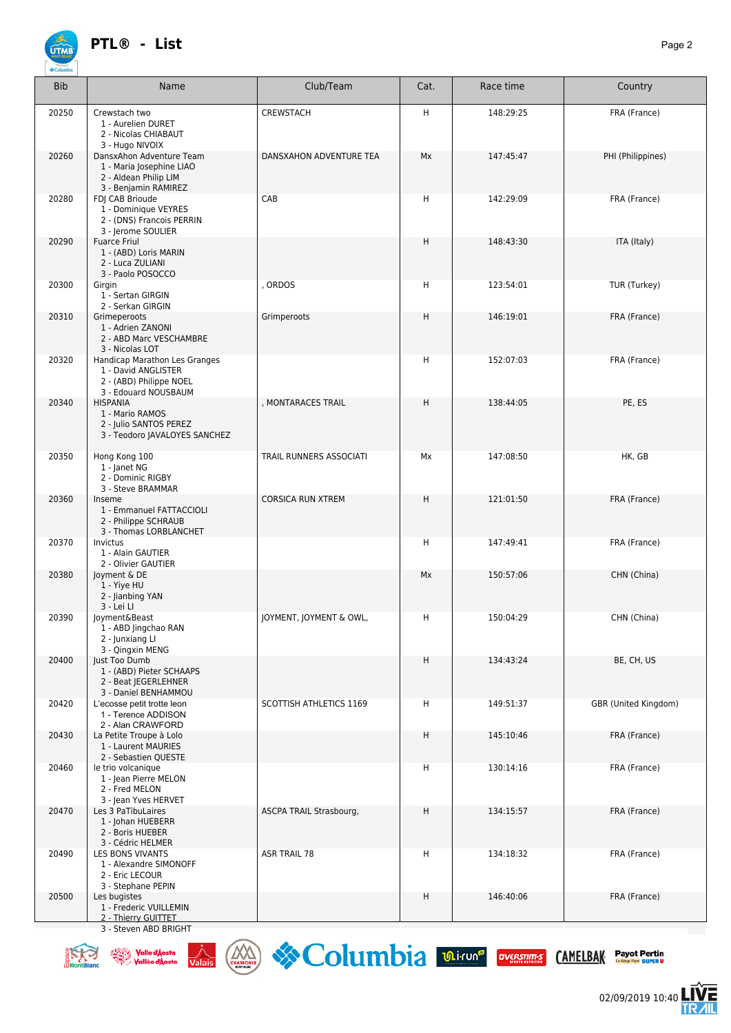

| <b>ÚTMB</b><br><b>♦Columbi</b> | <b>PIL<sup>®</sup> - LIST</b>                                                                           |                          |         |           | Page 2            |
|--------------------------------|---------------------------------------------------------------------------------------------------------|--------------------------|---------|-----------|-------------------|
| <b>Bib</b>                     | Name                                                                                                    | Club/Team                | Cat.    | Race time | Country           |
| 20250                          | Crewstach two<br>1 - Aurelien DURET<br>2 - Nicolas CHIABAUT<br>3 - Hugo NIVOIX                          | CREWSTACH                | H       | 148:29:25 | FRA (France)      |
| 20260                          | DansxAhon Adventure Team<br>1 - Maria Josephine LIAO<br>2 - Aldean Philip LIM<br>3 - Benjamin RAMIREZ   | DANSXAHON ADVENTURE TEA  | Mx      | 147:45:47 | PHI (Philippines) |
| 20280                          | FDJ CAB Brioude<br>1 - Dominique VEYRES<br>2 - (DNS) Francois PERRIN<br>3 - Jerome SOULIER              | CAB                      | н       | 142:29:09 | FRA (France)      |
| 20290                          | <b>Fuarce Friul</b><br>1 - (ABD) Loris MARIN<br>2 - Luca ZULIANI<br>3 - Paolo POSOCCO                   |                          | $\sf H$ | 148:43:30 | ITA (Italy)       |
| 20300                          | Girgin<br>1 - Sertan GIRGIN<br>2 - Serkan GIRGIN                                                        | ORDOS                    | н       | 123:54:01 | TUR (Turkey)      |
| 20310                          | Grimeperoots<br>1 - Adrien ZANONI<br>2 - ABD Marc VESCHAMBRE<br>3 - Nicolas LOT                         | Grimperoots              | H       | 146:19:01 | FRA (France)      |
| 20320                          | Handicap Marathon Les Granges<br>1 - David ANGLISTER<br>2 - (ABD) Philippe NOEL<br>3 - Edouard NOUSBAUM |                          | н       | 152:07:03 | FRA (France)      |
| 20340                          | <b>HISPANIA</b><br>1 - Mario RAMOS<br>2 - Julio SANTOS PEREZ<br>3 - Teodoro JAVALOYES SANCHEZ           | , MONTARACES TRAIL       | H       | 138:44:05 | PE, ES            |
| 20350                          | Hong Kong 100<br>1 - Janet NG<br>2 - Dominic RIGBY<br>3 - Steve BRAMMAR                                 | TRAIL RUNNERS ASSOCIATI  | Мx      | 147:08:50 | HK, GB            |
| 20360                          | Inseme<br>1 - Emmanuel FATTACCIOLI<br>2 - Philippe SCHRAUB<br>3 - Thomas LORBLANCHET                    | <b>CORSICA RUN XTREM</b> | H       | 121:01:50 | FRA (France)      |
| 20370                          | <b>Invictus</b><br>1 - Alain GAUTIER<br>2 - Olivier GAUTIER                                             |                          | H       | 147:49:41 | FRA (France)      |
| 20380                          | Joyment & DE<br>1 - Yiye HU<br>2 - Jianbing YAN<br>3 - Lei Ll                                           |                          | Mx      | 150:57:06 | CHN (China)       |
| 20390                          | loyment&Beast<br>1 - ABD Jingchao RAN<br>2 - Junxiang Ll                                                | JOYMENT, JOYMENT & OWL,  | H       | 150:04:29 | CHN (China)       |

| 20380 | Joyment & DE<br>1 - Yiye HU<br>2 - Jianbing YAN<br>3 - Lei Ll                              |                                | Mx | 150:57:06 | CHN (China)          |
|-------|--------------------------------------------------------------------------------------------|--------------------------------|----|-----------|----------------------|
| 20390 | loyment&Beast<br>1 - ABD Jingchao RAN<br>2 - Junxiang Ll<br>3 - Qingxin MENG               | JOYMENT, JOYMENT & OWL,        | H  | 150:04:29 | CHN (China)          |
| 20400 | Just Too Dumb<br>1 - (ABD) Pieter SCHAAPS<br>2 - Beat JEGERLEHNER<br>3 - Daniel BENHAMMOU  |                                | H  | 134:43:24 | BE, CH, US           |
| 20420 | L'ecosse petit trotte leon<br>1 - Terence ADDISON<br>2 - Alan CRAWFORD                     | <b>SCOTTISH ATHLETICS 1169</b> | H  | 149:51:37 | GBR (United Kingdom) |
| 20430 | La Petite Troupe à Lolo<br>1 - Laurent MAURIES<br>2 - Sebastien QUESTE                     |                                | H  | 145:10:46 | FRA (France)         |
| 20460 | le trio volcanique<br>1 - Jean Pierre MELON<br>2 - Fred MELON<br>3 - Jean Yves HERVET      |                                | Н  | 130:14:16 | FRA (France)         |
| 20470 | Les 3 PaTibuLaires<br>1 - Johan HUEBERR<br>2 - Boris HUEBER<br>3 - Cédric HELMER           | ASCPA TRAIL Strasbourg,        | H  | 134:15:57 | FRA (France)         |
| 20490 | <b>LES BONS VIVANTS</b><br>1 - Alexandre SIMONOFF<br>2 - Eric LECOUR<br>3 - Stephane PEPIN | <b>ASR TRAIL 78</b>            | Н  | 134:18:32 | FRA (France)         |
| 20500 | Les bugistes<br>1 - Frederic VUILLEMIN<br>2 - Thierry GUITTET                              |                                | H  | 146:40:06 | FRA (France)         |
|       | 3 - Steven ABD BRIGHT                                                                      |                                |    |           |                      |







**Payot Pertin** 

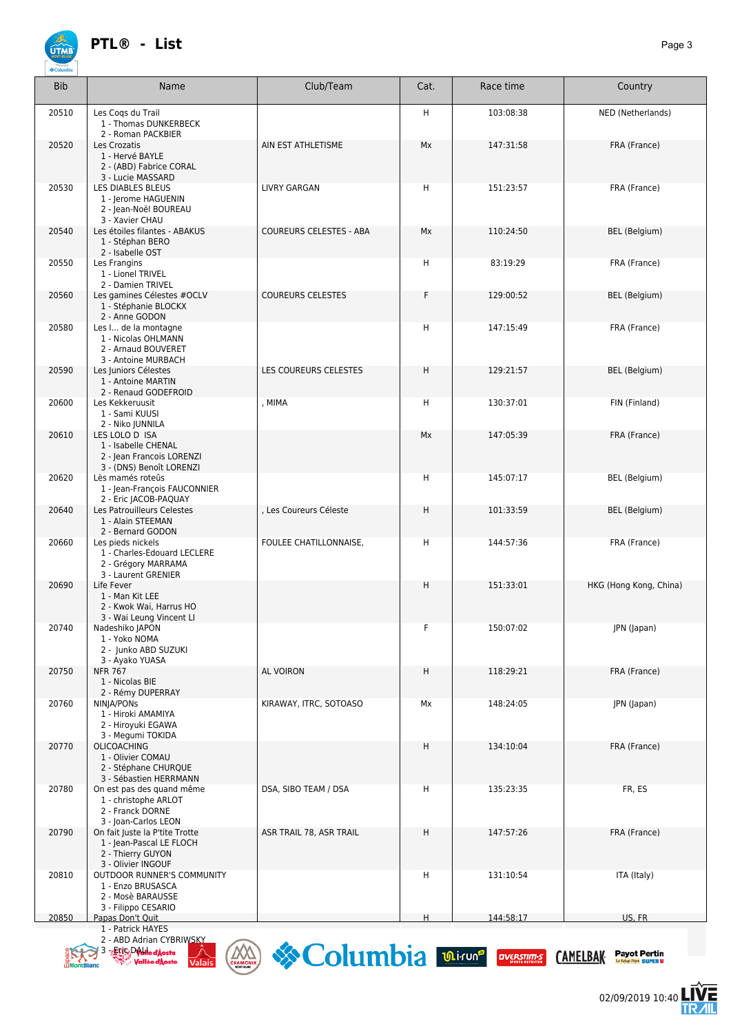

| <b>Bib</b> | Name                                                                                                  | Club/Team                | Cat. | Race time | Country                |
|------------|-------------------------------------------------------------------------------------------------------|--------------------------|------|-----------|------------------------|
| 20510      | Les Coqs du Trail<br>1 - Thomas DUNKERBECK<br>2 - Roman PACKBIER                                      |                          | H    | 103:08:38 | NED (Netherlands)      |
| 20520      | Les Crozatis<br>1 - Hervé BAYLE<br>2 - (ABD) Fabrice CORAL<br>3 - Lucie MASSARD                       | AIN EST ATHLETISME       | Mx   | 147:31:58 | FRA (France)           |
| 20530      | LES DIABLES BLEUS<br>1 - Jerome HAGUENIN<br>2 - Jean-Noël BOUREAU<br>3 - Xavier CHAU                  | <b>LIVRY GARGAN</b>      | н    | 151:23:57 | FRA (France)           |
| 20540      | Les étoiles filantes - ABAKUS<br>1 - Stéphan BERO<br>2 - Isabelle OST                                 | COUREURS CELESTES - ABA  | Mx   | 110:24:50 | BEL (Belgium)          |
| 20550      | Les Frangins<br>1 - Lionel TRIVEL<br>2 - Damien TRIVEL                                                |                          | H    | 83:19:29  | FRA (France)           |
| 20560      | Les gamines Célestes #OCLV<br>1 - Stéphanie BLOCKX<br>2 - Anne GODON                                  | <b>COUREURS CELESTES</b> | F    | 129:00:52 | BEL (Belgium)          |
| 20580      | Les I de la montagne<br>1 - Nicolas OHLMANN<br>2 - Arnaud BOUVERET<br>3 - Antoine MURBACH             |                          | н    | 147:15:49 | FRA (France)           |
| 20590      | Les Juniors Célestes<br>1 - Antoine MARTIN<br>2 - Renaud GODEFROID                                    | LES COUREURS CELESTES    | Η    | 129:21:57 | BEL (Belgium)          |
| 20600      | Les Kekkeruusit<br>1 - Sami KUUSI<br>2 - Niko JUNNILA                                                 | , MIMA                   | H    | 130:37:01 | FIN (Finland)          |
| 20610      | LES LOLO D ISA<br>1 - Isabelle CHENAL<br>2 - Jean Francois LORENZI<br>3 - (DNS) Benoît LORENZI        |                          | Мx   | 147:05:39 | FRA (France)           |
| 20620      | Lès mamés roteûs<br>1 - Jean-François FAUCONNIER<br>2 - Eric JACOB-PAQUAY                             |                          | н    | 145:07:17 | BEL (Belgium)          |
| 20640      | Les Patrouilleurs Celestes<br>1 - Alain STEEMAN<br>2 - Bernard GODON                                  | , Les Coureurs Céleste   | Η    | 101:33:59 | <b>BEL</b> (Belgium)   |
| 20660      | Les pieds nickels<br>1 - Charles-Edouard LECLERE<br>2 - Grégory MARRAMA<br>3 - Laurent GRENIER        | FOULEE CHATILLONNAISE,   | H    | 144:57:36 | FRA (France)           |
| 20690      | Life Fever<br>1 - Man Kit LEE<br>2 - Kwok Wai, Harrus HO<br>3 - Wai Leung Vincent Ll                  |                          | Η    | 151:33:01 | HKG (Hong Kong, China) |
| 20740      | Nadeshiko JAPON<br>1 - Yoko NOMA<br>2 - Junko ABD SUZUKI<br>3 - Ayako YUASA                           |                          | F    | 150:07:02 | JPN (Japan)            |
| 20750      | <b>NFR 767</b><br>1 - Nicolas BIE<br>2 - Rémy DUPERRAY                                                | AL VOIRON                | н    | 118:29:21 | FRA (France)           |
| 20760      | NINJA/PONs<br>1 - Hiroki AMAMIYA<br>2 - Hiroyuki EGAWA<br>3 - Megumi TOKIDA                           | KIRAWAY, ITRC, SOTOASO   | Мx   | 148:24:05 | JPN (Japan)            |
| 20770      | <b>OLICOACHING</b><br>1 - Olivier COMAU<br>2 - Stéphane CHURQUE<br>3 - Sébastien HERRMANN             |                          | н    | 134:10:04 | FRA (France)           |
| 20780      | On est pas des quand même<br>1 - christophe ARLOT<br>2 - Franck DORNE<br>3 - Joan-Carlos LEON         | DSA, SIBO TEAM / DSA     | H    | 135:23:35 | FR, ES                 |
| 20790      | On fait Juste la P'tite Trotte<br>1 - Jean-Pascal LE FLOCH<br>2 - Thierry GUYON<br>3 - Olivier INGOUF | ASR TRAIL 78, ASR TRAIL  | н    | 147:57:26 | FRA (France)           |
| 20810      | OUTDOOR RUNNER'S COMMUNITY<br>1 - Enzo BRUSASCA<br>2 - Mosè BARAUSSE<br>3 - Filippo CESARIO           |                          | H    | 131:10:54 | ITA (Italy)            |
| 20850      | Papas Don't Quit                                                                                      |                          | H    | 144:58:17 | US. FR                 |

 1 - Patrick HAYES 2 - ABD Adrian CYBRIWSKY

3 - Eric DALI

Columbia **Dirune OVERSTRUES** CAMELBAK Payot Pertin

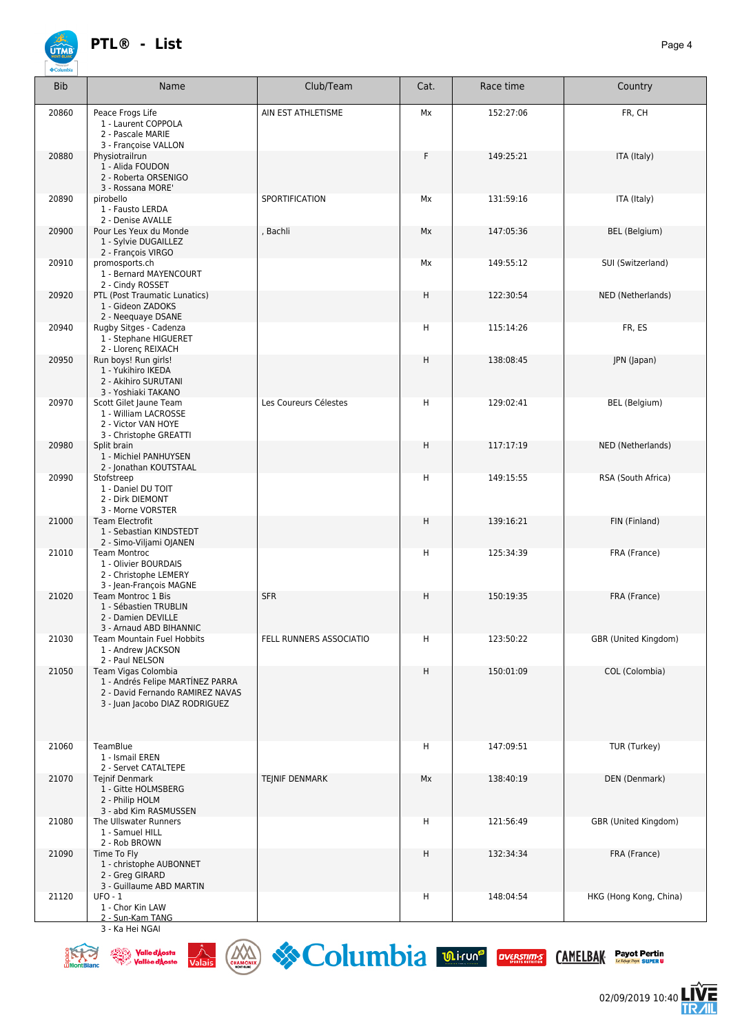

| <b>Bib</b> | Name                                                                                                                          | Club/Team               | Cat. | Race time | Country                |
|------------|-------------------------------------------------------------------------------------------------------------------------------|-------------------------|------|-----------|------------------------|
| 20860      | Peace Frogs Life<br>1 - Laurent COPPOLA<br>2 - Pascale MARIE<br>3 - Françoise VALLON                                          | AIN EST ATHLETISME      | Mx   | 152:27:06 | FR, CH                 |
| 20880      | Physiotrailrun<br>1 - Alida FOUDON<br>2 - Roberta ORSENIGO<br>3 - Rossana MORE'                                               |                         | F    | 149:25:21 | ITA (Italy)            |
| 20890      | pirobello<br>1 - Fausto LERDA<br>2 - Denise AVALLE                                                                            | SPORTIFICATION          | Мx   | 131:59:16 | ITA (Italy)            |
| 20900      | Pour Les Yeux du Monde<br>1 - Sylvie DUGAILLEZ<br>2 - François VIRGO                                                          | , Bachli                | Mx   | 147:05:36 | BEL (Belgium)          |
| 20910      | promosports.ch<br>1 - Bernard MAYENCOURT<br>2 - Cindy ROSSET                                                                  |                         | Mx   | 149:55:12 | SUI (Switzerland)      |
| 20920      | PTL (Post Traumatic Lunatics)<br>1 - Gideon ZADOKS<br>2 - Neequaye DSANE                                                      |                         | Η    | 122:30:54 | NED (Netherlands)      |
| 20940      | Rugby Sitges - Cadenza<br>1 - Stephane HIGUERET<br>2 - Llorenç REIXACH                                                        |                         | н    | 115:14:26 | FR, ES                 |
| 20950      | Run boys! Run girls!<br>1 - Yukihiro IKEDA<br>2 - Akihiro SURUTANI<br>3 - Yoshiaki TAKANO                                     |                         | H    | 138:08:45 | JPN (Japan)            |
| 20970      | Scott Gilet Jaune Team<br>1 - William LACROSSE<br>2 - Victor VAN HOYE<br>3 - Christophe GREATTI                               | Les Coureurs Célestes   | н    | 129:02:41 | BEL (Belgium)          |
| 20980      | Split brain<br>1 - Michiel PANHUYSEN<br>2 - Jonathan KOUTSTAAL                                                                |                         | H    | 117:17:19 | NED (Netherlands)      |
| 20990      | Stofstreep<br>1 - Daniel DU TOIT<br>2 - Dirk DIEMONT<br>3 - Morne VORSTER                                                     |                         | н    | 149:15:55 | RSA (South Africa)     |
| 21000      | <b>Team Electrofit</b><br>1 - Sebastian KINDSTEDT<br>2 - Simo-Viljami OJANEN                                                  |                         | H    | 139:16:21 | FIN (Finland)          |
| 21010      | <b>Team Montroc</b><br>1 - Olivier BOURDAIS<br>2 - Christophe LEMERY<br>3 - Jean-François MAGNE                               |                         | н    | 125:34:39 | FRA (France)           |
| 21020      | Team Montroc 1 Bis<br>1 - Sébastien TRUBLIN<br>2 - Damien DEVILLE<br>3 - Arnaud ABD BIHANNIC                                  | <b>SFR</b>              | H    | 150:19:35 | FRA (France)           |
| 21030      | <b>Team Mountain Fuel Hobbits</b><br>1 - Andrew JACKSON<br>2 - Paul NELSON                                                    | FELL RUNNERS ASSOCIATIO | н    | 123:50:22 | GBR (United Kingdom)   |
| 21050      | Team Vigas Colombia<br>1 - Andrés Felipe MARTÍNEZ PARRA<br>2 - David Fernando RAMIREZ NAVAS<br>3 - Juan Jacobo DIAZ RODRIGUEZ |                         | H    | 150:01:09 | COL (Colombia)         |
| 21060      | TeamBlue<br>1 - Ismail EREN<br>2 - Servet CATALTEPE                                                                           |                         | H    | 147:09:51 | TUR (Turkey)           |
| 21070      | <b>Tejnif Denmark</b><br>1 - Gitte HOLMSBERG<br>2 - Philip HOLM<br>3 - abd Kim RASMUSSEN                                      | <b>TEJNIF DENMARK</b>   | Mx   | 138:40:19 | DEN (Denmark)          |
| 21080      | The Ullswater Runners<br>1 - Samuel HILL<br>2 - Rob BROWN                                                                     |                         | н    | 121:56:49 | GBR (United Kingdom)   |
| 21090      | Time To Fly<br>1 - christophe AUBONNET<br>2 - Greg GIRARD<br>3 - Guillaume ABD MARTIN                                         |                         | H    | 132:34:34 | FRA (France)           |
| 21120      | <b>UFO - 1</b><br>1 - Chor Kin LAW<br>2 - Sun-Kam TANG                                                                        |                         | н    | 148:04:54 | HKG (Hong Kong, China) |

3 - Ka Hei NGAI